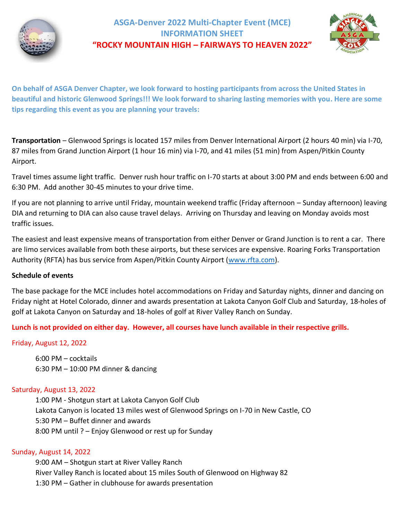

# **ASGA-Denver 2022 Multi-Chapter Event (MCE) INFORMATION SHEET "ROCKY MOUNTAIN HIGH – FAIRWAYS TO HEAVEN 2022"**



**On behalf of ASGA Denver Chapter, we look forward to hosting participants from across the United States in beautiful and historic Glenwood Springs!!! We look forward to sharing lasting memories with you. Here are some tips regarding this event as you are planning your travels:**

**Transportation** – Glenwood Springs is located 157 miles from Denver International Airport (2 hours 40 min) via I-70, 87 miles from Grand Junction Airport (1 hour 16 min) via I-70, and 41 miles (51 min) from Aspen/Pitkin County Airport.

Travel times assume light traffic. Denver rush hour traffic on I-70 starts at about 3:00 PM and ends between 6:00 and 6:30 PM. Add another 30-45 minutes to your drive time.

If you are not planning to arrive until Friday, mountain weekend traffic (Friday afternoon – Sunday afternoon) leaving DIA and returning to DIA can also cause travel delays. Arriving on Thursday and leaving on Monday avoids most traffic issues.

The easiest and least expensive means of transportation from either Denver or Grand Junction is to rent a car. There are limo services available from both these airports, but these services are expensive. Roaring Forks Transportation Authority (RFTA) has bus service from Aspen/Pitkin County Airport [\(www.rfta.com\)](http://www.rfta.com/).

# **Schedule of events**

The base package for the MCE includes hotel accommodations on Friday and Saturday nights, dinner and dancing on Friday night at Hotel Colorado, dinner and awards presentation at Lakota Canyon Golf Club and Saturday, 18-holes of golf at Lakota Canyon on Saturday and 18-holes of golf at River Valley Ranch on Sunday.

**Lunch is not provided on either day. However, all courses have lunch available in their respective grills.**

Friday, August 12, 2022

6:00 PM – cocktails 6:30 PM – 10:00 PM dinner & dancing

### Saturday, August 13, 2022

1:00 PM - Shotgun start at Lakota Canyon Golf Club Lakota Canyon is located 13 miles west of Glenwood Springs on I-70 in New Castle, CO 5:30 PM – Buffet dinner and awards 8:00 PM until ? – Enjoy Glenwood or rest up for Sunday

### Sunday, August 14, 2022

9:00 AM – Shotgun start at River Valley Ranch River Valley Ranch is located about 15 miles South of Glenwood on Highway 82 1:30 PM – Gather in clubhouse for awards presentation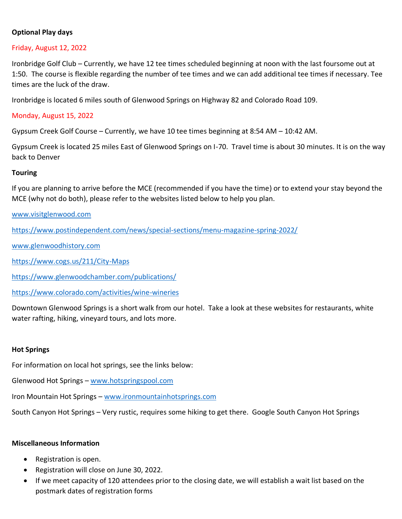# **Optional Play days**

## Friday, August 12, 2022

Ironbridge Golf Club – Currently, we have 12 tee times scheduled beginning at noon with the last foursome out at 1:50. The course is flexible regarding the number of tee times and we can add additional tee times if necessary. Tee times are the luck of the draw.

Ironbridge is located 6 miles south of Glenwood Springs on Highway 82 and Colorado Road 109.

# Monday, August 15, 2022

Gypsum Creek Golf Course – Currently, we have 10 tee times beginning at 8:54 AM – 10:42 AM.

Gypsum Creek is located 25 miles East of Glenwood Springs on I-70. Travel time is about 30 minutes. It is on the way back to Denver

# **Touring**

If you are planning to arrive before the MCE (recommended if you have the time) or to extend your stay beyond the MCE (why not do both), please refer to the websites listed below to help you plan.

[www.visitglenwood.com](http://www.visitglenwood.com/)

<https://www.postindependent.com/news/special-sections/menu-magazine-spring-2022/>

[www.glenwoodhistory.com](http://www.glenwoodhistory.com/)

<https://www.cogs.us/211/City-Maps>

<https://www.glenwoodchamber.com/publications/>

<https://www.colorado.com/activities/wine-wineries>

Downtown Glenwood Springs is a short walk from our hotel. Take a look at these websites for restaurants, white water rafting, hiking, vineyard tours, and lots more.

### **Hot Springs**

For information on local hot springs, see the links below:

Glenwood Hot Springs – [www.hotspringspool.com](http://www.hotspringspool.com/)

Iron Mountain Hot Springs – [www.ironmountainhotsprings.com](http://www.ironmountainhotsprings.com/)

South Canyon Hot Springs – Very rustic, requires some hiking to get there. Google South Canyon Hot Springs

### **Miscellaneous Information**

- Registration is open.
- Registration will close on June 30, 2022.
- If we meet capacity of 120 attendees prior to the closing date, we will establish a wait list based on the postmark dates of registration forms